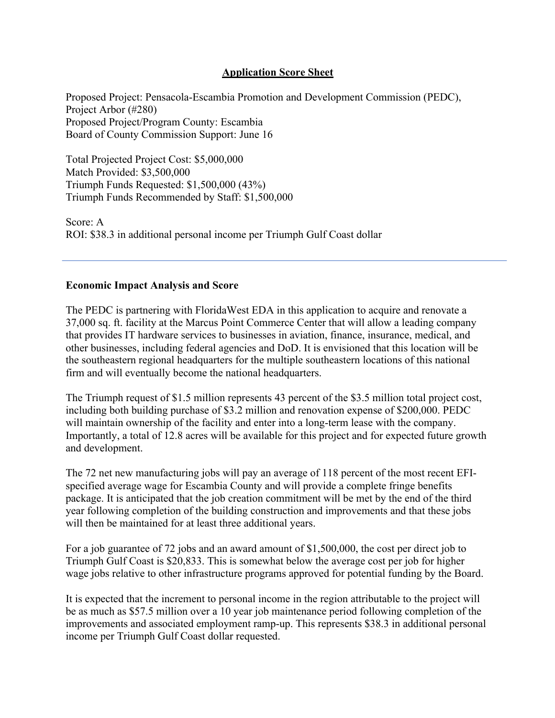## **Application Score Sheet**

Proposed Project: Pensacola-Escambia Promotion and Development Commission (PEDC), Project Arbor (#280) Proposed Project/Program County: Escambia Board of County Commission Support: June 16

Total Projected Project Cost: \$5,000,000 Match Provided: \$3,500,000 Triumph Funds Requested: \$1,500,000 (43%) Triumph Funds Recommended by Staff: \$1,500,000

Score: A ROI: \$38.3 in additional personal income per Triumph Gulf Coast dollar

## **Economic Impact Analysis and Score**

The PEDC is partnering with FloridaWest EDA in this application to acquire and renovate a 37,000 sq. ft. facility at the Marcus Point Commerce Center that will allow a leading company that provides IT hardware services to businesses in aviation, finance, insurance, medical, and other businesses, including federal agencies and DoD. It is envisioned that this location will be the southeastern regional headquarters for the multiple southeastern locations of this national firm and will eventually become the national headquarters.

The Triumph request of \$1.5 million represents 43 percent of the \$3.5 million total project cost, including both building purchase of \$3.2 million and renovation expense of \$200,000. PEDC will maintain ownership of the facility and enter into a long-term lease with the company. Importantly, a total of 12.8 acres will be available for this project and for expected future growth and development.

The 72 net new manufacturing jobs will pay an average of 118 percent of the most recent EFIspecified average wage for Escambia County and will provide a complete fringe benefits package. It is anticipated that the job creation commitment will be met by the end of the third year following completion of the building construction and improvements and that these jobs will then be maintained for at least three additional years.

For a job guarantee of 72 jobs and an award amount of \$1,500,000, the cost per direct job to Triumph Gulf Coast is \$20,833. This is somewhat below the average cost per job for higher wage jobs relative to other infrastructure programs approved for potential funding by the Board.

It is expected that the increment to personal income in the region attributable to the project will be as much as \$57.5 million over a 10 year job maintenance period following completion of the improvements and associated employment ramp-up. This represents \$38.3 in additional personal income per Triumph Gulf Coast dollar requested.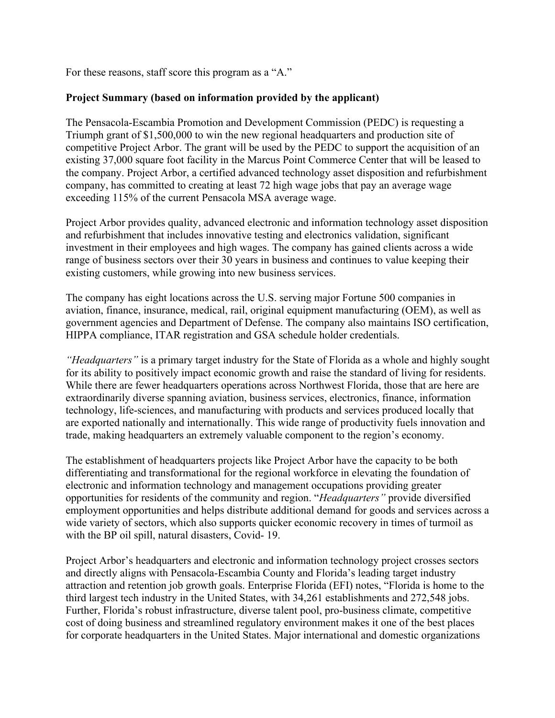For these reasons, staff score this program as a "A."

## **Project Summary (based on information provided by the applicant)**

The Pensacola-Escambia Promotion and Development Commission (PEDC) is requesting a Triumph grant of \$1,500,000 to win the new regional headquarters and production site of competitive Project Arbor. The grant will be used by the PEDC to support the acquisition of an existing 37,000 square foot facility in the Marcus Point Commerce Center that will be leased to the company. Project Arbor, a certified advanced technology asset disposition and refurbishment company, has committed to creating at least 72 high wage jobs that pay an average wage exceeding 115% of the current Pensacola MSA average wage.

Project Arbor provides quality, advanced electronic and information technology asset disposition and refurbishment that includes innovative testing and electronics validation, significant investment in their employees and high wages. The company has gained clients across a wide range of business sectors over their 30 years in business and continues to value keeping their existing customers, while growing into new business services.

The company has eight locations across the U.S. serving major Fortune 500 companies in aviation, finance, insurance, medical, rail, original equipment manufacturing (OEM), as well as government agencies and Department of Defense. The company also maintains ISO certification, HIPPA compliance, ITAR registration and GSA schedule holder credentials.

*"Headquarters"* is a primary target industry for the State of Florida as a whole and highly sought for its ability to positively impact economic growth and raise the standard of living for residents. While there are fewer headquarters operations across Northwest Florida, those that are here are extraordinarily diverse spanning aviation, business services, electronics, finance, information technology, life-sciences, and manufacturing with products and services produced locally that are exported nationally and internationally. This wide range of productivity fuels innovation and trade, making headquarters an extremely valuable component to the region's economy.

The establishment of headquarters projects like Project Arbor have the capacity to be both differentiating and transformational for the regional workforce in elevating the foundation of electronic and information technology and management occupations providing greater opportunities for residents of the community and region. "*Headquarters"* provide diversified employment opportunities and helps distribute additional demand for goods and services across a wide variety of sectors, which also supports quicker economic recovery in times of turmoil as with the BP oil spill, natural disasters, Covid- 19.

Project Arbor's headquarters and electronic and information technology project crosses sectors and directly aligns with Pensacola-Escambia County and Florida's leading target industry attraction and retention job growth goals. Enterprise Florida (EFI) notes, "Florida is home to the third largest tech industry in the United States, with 34,261 establishments and 272,548 jobs. Further, Florida's robust infrastructure, diverse talent pool, pro-business climate, competitive cost of doing business and streamlined regulatory environment makes it one of the best places for corporate headquarters in the United States. Major international and domestic organizations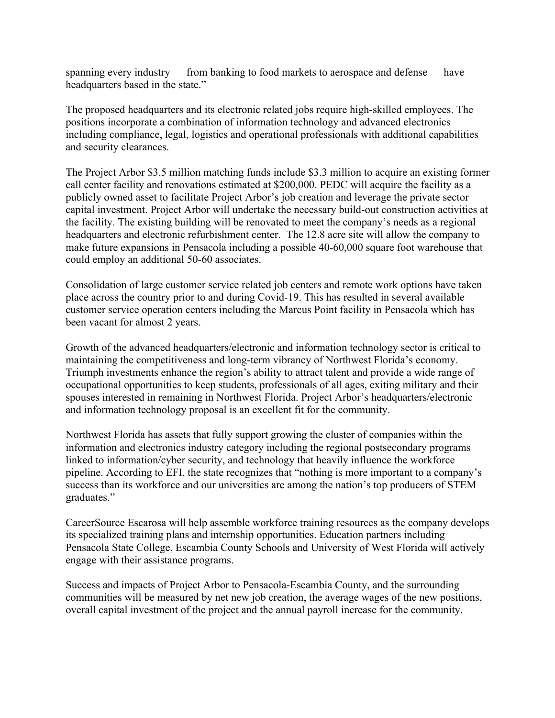spanning every industry — from banking to food markets to aerospace and defense — have headquarters based in the state."

The proposed headquarters and its electronic related jobs require high-skilled employees. The positions incorporate a combination of information technology and advanced electronics including compliance, legal, logistics and operational professionals with additional capabilities and security clearances.

The Project Arbor \$3.5 million matching funds include \$3.3 million to acquire an existing former call center facility and renovations estimated at \$200,000. PEDC will acquire the facility as a publicly owned asset to facilitate Project Arbor's job creation and leverage the private sector capital investment. Project Arbor will undertake the necessary build-out construction activities at the facility. The existing building will be renovated to meet the company's needs as a regional headquarters and electronic refurbishment center. The 12.8 acre site will allow the company to make future expansions in Pensacola including a possible 40-60,000 square foot warehouse that could employ an additional 50-60 associates.

Consolidation of large customer service related job centers and remote work options have taken place across the country prior to and during Covid-19. This has resulted in several available customer service operation centers including the Marcus Point facility in Pensacola which has been vacant for almost 2 years.

Growth of the advanced headquarters/electronic and information technology sector is critical to maintaining the competitiveness and long-term vibrancy of Northwest Florida's economy. Triumph investments enhance the region's ability to attract talent and provide a wide range of occupational opportunities to keep students, professionals of all ages, exiting military and their spouses interested in remaining in Northwest Florida. Project Arbor's headquarters/electronic and information technology proposal is an excellent fit for the community.

Northwest Florida has assets that fully support growing the cluster of companies within the information and electronics industry category including the regional postsecondary programs linked to information/cyber security, and technology that heavily influence the workforce pipeline. According to EFI, the state recognizes that "nothing is more important to a company's success than its workforce and our universities are among the nation's top producers of STEM graduates."

CareerSource Escarosa will help assemble workforce training resources as the company develops its specialized training plans and internship opportunities. Education partners including Pensacola State College, Escambia County Schools and University of West Florida will actively engage with their assistance programs.

Success and impacts of Project Arbor to Pensacola-Escambia County, and the surrounding communities will be measured by net new job creation, the average wages of the new positions, overall capital investment of the project and the annual payroll increase for the community.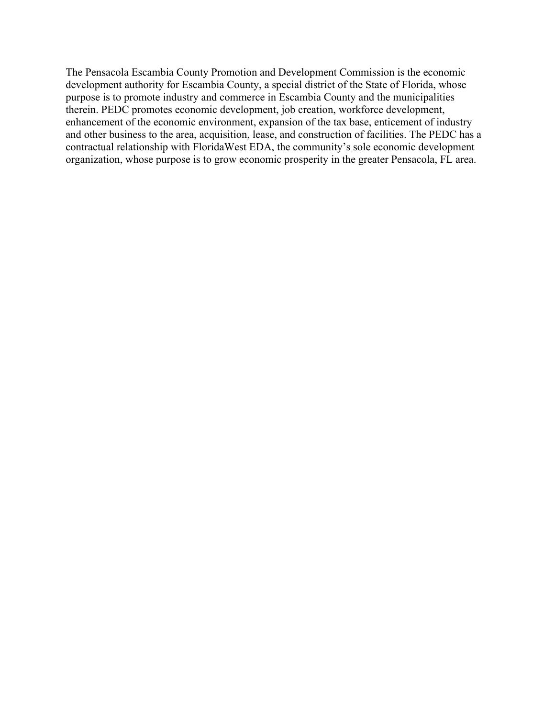The Pensacola Escambia County Promotion and Development Commission is the economic development authority for Escambia County, a special district of the State of Florida, whose purpose is to promote industry and commerce in Escambia County and the municipalities therein. PEDC promotes economic development, job creation, workforce development, enhancement of the economic environment, expansion of the tax base, enticement of industry and other business to the area, acquisition, lease, and construction of facilities. The PEDC has a contractual relationship with FloridaWest EDA, the community's sole economic development organization, whose purpose is to grow economic prosperity in the greater Pensacola, FL area.